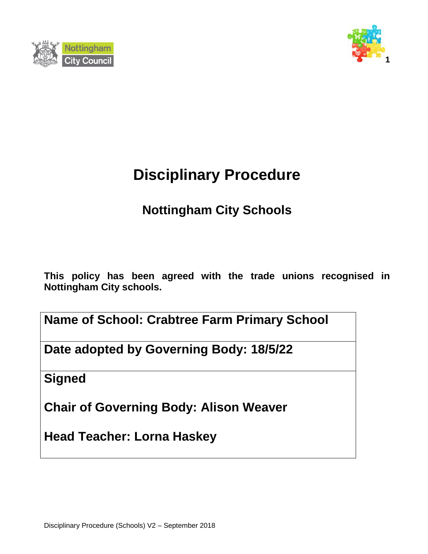



# **Disciplinary Procedure**

# **Nottingham City Schools**

**This policy has been agreed with the trade unions recognised in Nottingham City schools.**

**Name of School: Crabtree Farm Primary School**

**Date adopted by Governing Body: 18/5/22**

**Signed**

**Chair of Governing Body: Alison Weaver**

**Head Teacher: Lorna Haskey**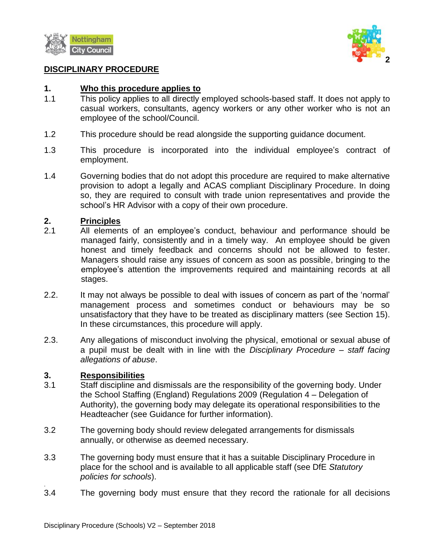



#### **DISCIPLINARY PROCEDURE**

#### **1. Who this procedure applies to**

- 1.1 This policy applies to all directly employed schools-based staff. It does not apply to casual workers, consultants, agency workers or any other worker who is not an employee of the school/Council.
- 1.2 This procedure should be read alongside the supporting guidance document.
- 1.3 This procedure is incorporated into the individual employee's contract of employment.
- 1.4 Governing bodies that do not adopt this procedure are required to make alternative provision to adopt a legally and ACAS compliant Disciplinary Procedure. In doing so, they are required to consult with trade union representatives and provide the school's HR Advisor with a copy of their own procedure.

#### **2. Principles**

- 2.1 All elements of an employee's conduct, behaviour and performance should be managed fairly, consistently and in a timely way. An employee should be given honest and timely feedback and concerns should not be allowed to fester. Managers should raise any issues of concern as soon as possible, bringing to the employee's attention the improvements required and maintaining records at all stages.
- 2.2. It may not always be possible to deal with issues of concern as part of the 'normal' management process and sometimes conduct or behaviours may be so unsatisfactory that they have to be treated as disciplinary matters (see Section 15). In these circumstances, this procedure will apply.
- 2.3. Any allegations of misconduct involving the physical, emotional or sexual abuse of a pupil must be dealt with in line with the *Disciplinary Procedure – staff facing allegations of abuse*.

#### **3. Responsibilities**

.

- 3.1 Staff discipline and dismissals are the responsibility of the governing body. Under the School Staffing (England) Regulations 2009 (Regulation 4 – Delegation of Authority), the governing body may delegate its operational responsibilities to the Headteacher (see Guidance for further information).
- 3.2 The governing body should review delegated arrangements for dismissals annually, or otherwise as deemed necessary.
- 3.3 The governing body must ensure that it has a suitable Disciplinary Procedure in place for the school and is available to all applicable staff (see DfE *Statutory policies for schools*).
- 3.4 The governing body must ensure that they record the rationale for all decisions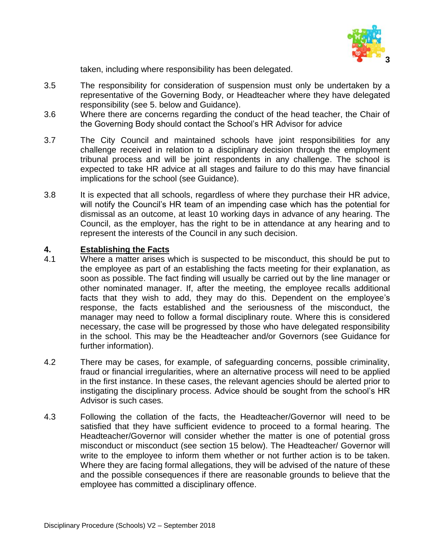

taken, including where responsibility has been delegated.

- 3.5 The responsibility for consideration of suspension must only be undertaken by a representative of the Governing Body, or Headteacher where they have delegated responsibility (see 5. below and Guidance).
- 3.6 Where there are concerns regarding the conduct of the head teacher, the Chair of the Governing Body should contact the School's HR Advisor for advice
- 3.7 The City Council and maintained schools have joint responsibilities for any challenge received in relation to a disciplinary decision through the employment tribunal process and will be joint respondents in any challenge. The school is expected to take HR advice at all stages and failure to do this may have financial implications for the school (see Guidance).
- 3.8 It is expected that all schools, regardless of where they purchase their HR advice, will notify the Council's HR team of an impending case which has the potential for dismissal as an outcome, at least 10 working days in advance of any hearing. The Council, as the employer, has the right to be in attendance at any hearing and to represent the interests of the Council in any such decision.

#### **4. Establishing the Facts**

- 4.1 Where a matter arises which is suspected to be misconduct, this should be put to the employee as part of an establishing the facts meeting for their explanation, as soon as possible. The fact finding will usually be carried out by the line manager or other nominated manager. If, after the meeting, the employee recalls additional facts that they wish to add, they may do this. Dependent on the employee's response, the facts established and the seriousness of the misconduct, the manager may need to follow a formal disciplinary route. Where this is considered necessary, the case will be progressed by those who have delegated responsibility in the school. This may be the Headteacher and/or Governors (see Guidance for further information).
- 4.2 There may be cases, for example, of safeguarding concerns, possible criminality, fraud or financial irregularities, where an alternative process will need to be applied in the first instance. In these cases, the relevant agencies should be alerted prior to instigating the disciplinary process. Advice should be sought from the school's HR Advisor is such cases.
- 4.3 Following the collation of the facts, the Headteacher/Governor will need to be satisfied that they have sufficient evidence to proceed to a formal hearing. The Headteacher/Governor will consider whether the matter is one of potential gross misconduct or misconduct (see section 15 below). The Headteacher/ Governor will write to the employee to inform them whether or not further action is to be taken. Where they are facing formal allegations, they will be advised of the nature of these and the possible consequences if there are reasonable grounds to believe that the employee has committed a disciplinary offence.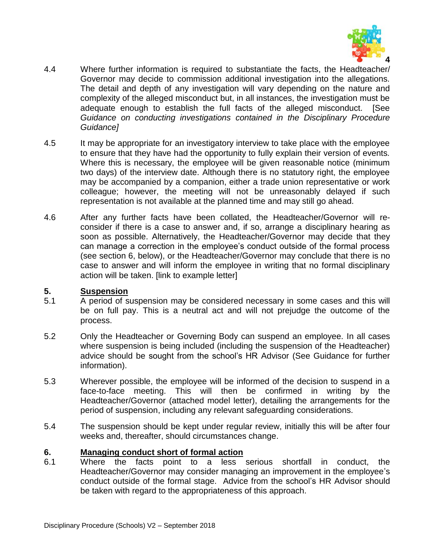

- 4.4 Where further information is required to substantiate the facts, the Headteacher/ Governor may decide to commission additional investigation into the allegations. The detail and depth of any investigation will vary depending on the nature and complexity of the alleged misconduct but, in all instances, the investigation must be adequate enough to establish the full facts of the alleged misconduct. [See *Guidance on conducting investigations contained in the Disciplinary Procedure Guidance]*
- 4.5 It may be appropriate for an investigatory interview to take place with the employee to ensure that they have had the opportunity to fully explain their version of events. Where this is necessary, the employee will be given reasonable notice (minimum two days) of the interview date. Although there is no statutory right, the employee may be accompanied by a companion, either a trade union representative or work colleague; however, the meeting will not be unreasonably delayed if such representation is not available at the planned time and may still go ahead.
- 4.6 After any further facts have been collated, the Headteacher/Governor will reconsider if there is a case to answer and, if so, arrange a disciplinary hearing as soon as possible. Alternatively, the Headteacher/Governor may decide that they can manage a correction in the employee's conduct outside of the formal process (see section 6, below), or the Headteacher/Governor may conclude that there is no case to answer and will inform the employee in writing that no formal disciplinary action will be taken. [link to example letter]

# **5. Suspension**

- 5.1 A period of suspension may be considered necessary in some cases and this will be on full pay. This is a neutral act and will not prejudge the outcome of the process.
- 5.2 Only the Headteacher or Governing Body can suspend an employee. In all cases where suspension is being included (including the suspension of the Headteacher) advice should be sought from the school's HR Advisor (See Guidance for further information).
- 5.3 Wherever possible, the employee will be informed of the decision to suspend in a face-to-face meeting. This will then be confirmed in writing by the Headteacher/Governor (attached model letter), detailing the arrangements for the period of suspension, including any relevant safeguarding considerations.
- 5.4 The suspension should be kept under regular review, initially this will be after four weeks and, thereafter, should circumstances change.

# **6. Managing conduct short of formal action**

6.1 Where the facts point to a less serious shortfall in conduct, the Headteacher/Governor may consider managing an improvement in the employee's conduct outside of the formal stage. Advice from the school's HR Advisor should be taken with regard to the appropriateness of this approach.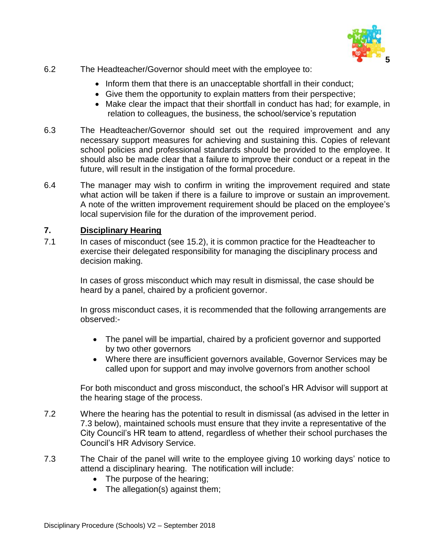

- 6.2 The Headteacher/Governor should meet with the employee to:
	- Inform them that there is an unacceptable shortfall in their conduct;
	- Give them the opportunity to explain matters from their perspective;
	- Make clear the impact that their shortfall in conduct has had; for example, in relation to colleagues, the business, the school/service's reputation
- 6.3 The Headteacher/Governor should set out the required improvement and any necessary support measures for achieving and sustaining this. Copies of relevant school policies and professional standards should be provided to the employee. It should also be made clear that a failure to improve their conduct or a repeat in the future, will result in the instigation of the formal procedure.
- 6.4 The manager may wish to confirm in writing the improvement required and state what action will be taken if there is a failure to improve or sustain an improvement. A note of the written improvement requirement should be placed on the employee's local supervision file for the duration of the improvement period.

# **7. Disciplinary Hearing**

7.1 In cases of misconduct (see 15.2), it is common practice for the Headteacher to exercise their delegated responsibility for managing the disciplinary process and decision making.

> In cases of gross misconduct which may result in dismissal, the case should be heard by a panel, chaired by a proficient governor.

In gross misconduct cases, it is recommended that the following arrangements are observed:-

- The panel will be impartial, chaired by a proficient governor and supported by two other governors
- Where there are insufficient governors available, Governor Services may be called upon for support and may involve governors from another school

For both misconduct and gross misconduct, the school's HR Advisor will support at the hearing stage of the process.

- 7.2 Where the hearing has the potential to result in dismissal (as advised in the letter in 7.3 below), maintained schools must ensure that they invite a representative of the City Council's HR team to attend, regardless of whether their school purchases the Council's HR Advisory Service.
- 7.3 The Chair of the panel will write to the employee giving 10 working days' notice to attend a disciplinary hearing. The notification will include:
	- The purpose of the hearing;
	- The allegation(s) against them;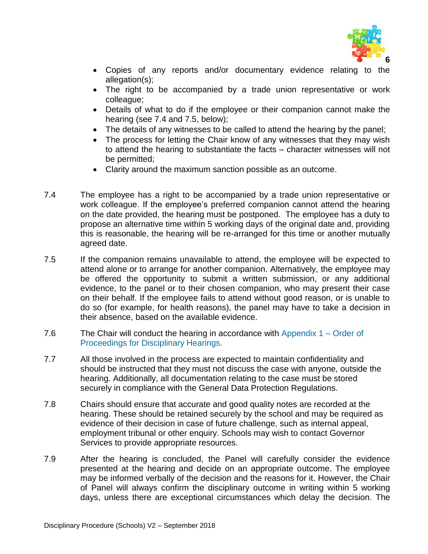

- Copies of any reports and/or documentary evidence relating to the allegation(s);
- The right to be accompanied by a trade union representative or work colleague;
- Details of what to do if the employee or their companion cannot make the hearing (see 7.4 and 7.5, below);
- The details of any witnesses to be called to attend the hearing by the panel;
- The process for letting the Chair know of any witnesses that they may wish to attend the hearing to substantiate the facts – character witnesses will not be permitted;
- Clarity around the maximum sanction possible as an outcome.
- 7.4 The employee has a right to be accompanied by a trade union representative or work colleague. If the employee's preferred companion cannot attend the hearing on the date provided, the hearing must be postponed. The employee has a duty to propose an alternative time within 5 working days of the original date and, providing this is reasonable, the hearing will be re-arranged for this time or another mutually agreed date.
- 7.5 If the companion remains unavailable to attend, the employee will be expected to attend alone or to arrange for another companion. Alternatively, the employee may be offered the opportunity to submit a written submission, or any additional evidence, to the panel or to their chosen companion, who may present their case on their behalf. If the employee fails to attend without good reason, or is unable to do so (for example, for health reasons), the panel may have to take a decision in their absence, based on the available evidence.
- 7.6 The Chair will conduct the hearing in accordance with [Appendix 1 –](http://www.nottinghamcity.gov.uk/nottinghamschools/index.aspx?articleid=17754#APPENDIX1#APPENDIX1) Order of [Proceedings for Disciplinary Hearings.](http://www.nottinghamcity.gov.uk/nottinghamschools/index.aspx?articleid=17754#APPENDIX1#APPENDIX1)
- 7.7 All those involved in the process are expected to maintain confidentiality and should be instructed that they must not discuss the case with anyone, outside the hearing. Additionally, all documentation relating to the case must be stored securely in compliance with the General Data Protection Regulations.
- 7.8 Chairs should ensure that accurate and good quality notes are recorded at the hearing. These should be retained securely by the school and may be required as evidence of their decision in case of future challenge, such as internal appeal, employment tribunal or other enquiry. Schools may wish to contact Governor Services to provide appropriate resources.
- 7.9 After the hearing is concluded, the Panel will carefully consider the evidence presented at the hearing and decide on an appropriate outcome. The employee may be informed verbally of the decision and the reasons for it. However, the Chair of Panel will always confirm the disciplinary outcome in writing within 5 working days, unless there are exceptional circumstances which delay the decision. The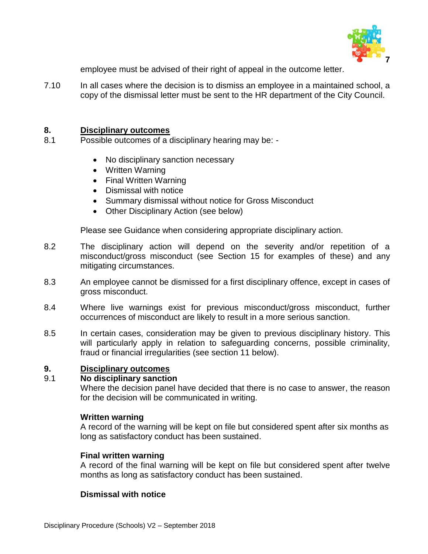

employee must be advised of their right of appeal in the outcome letter.

7.10 In all cases where the decision is to dismiss an employee in a maintained school, a copy of the dismissal letter must be sent to the HR department of the City Council.

#### **8. Disciplinary outcomes**

- 8.1 Possible outcomes of a disciplinary hearing may be:
	- No disciplinary sanction necessary
	- Written Warning
	- Final Written Warning
	- Dismissal with notice
	- Summary dismissal without notice for Gross Misconduct
	- Other Disciplinary Action (see below)

Please see Guidance when considering appropriate disciplinary action.

- 8.2 The disciplinary action will depend on the severity and/or repetition of a misconduct/gross misconduct (see Section 15 for examples of these) and any mitigating circumstances.
- 8.3 An employee cannot be dismissed for a first disciplinary offence, except in cases of gross misconduct.
- 8.4 Where live warnings exist for previous misconduct/gross misconduct, further occurrences of misconduct are likely to result in a more serious sanction.
- 8.5 In certain cases, consideration may be given to previous disciplinary history. This will particularly apply in relation to safeguarding concerns, possible criminality, fraud or financial irregularities (see section 11 below).

#### **9. Disciplinary outcomes**

#### 9.1 **No disciplinary sanction**

Where the decision panel have decided that there is no case to answer, the reason for the decision will be communicated in writing.

#### **Written warning**

A record of the warning will be kept on file but considered spent after six months as long as satisfactory conduct has been sustained.

#### **Final written warning**

A record of the final warning will be kept on file but considered spent after twelve months as long as satisfactory conduct has been sustained.

# **Dismissal with notice**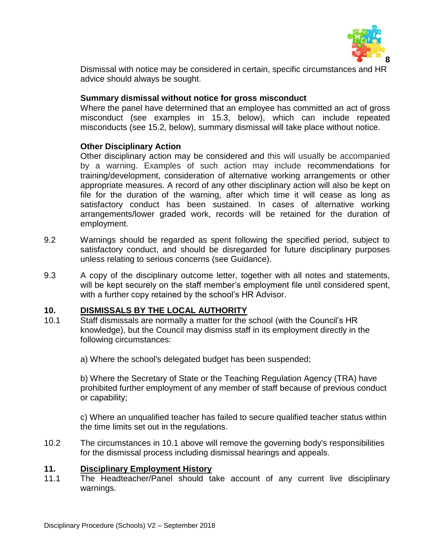

Dismissal with notice may be considered in certain, specific circumstances and HR advice should always be sought.

# **Summary dismissal without notice for gross misconduct**

Where the panel have determined that an employee has committed an act of gross misconduct (see examples in 15.3, below), which can include repeated misconducts (see 15.2, below), summary dismissal will take place without notice.

# **Other Disciplinary Action**

Other disciplinary action may be considered and this will usually be accompanied by a warning. Examples of such action may include recommendations for training/development, consideration of alternative working arrangements or other appropriate measures. A record of any other disciplinary action will also be kept on file for the duration of the warning, after which time it will cease as long as satisfactory conduct has been sustained. In cases of alternative working arrangements/lower graded work, records will be retained for the duration of employment.

- 9.2 Warnings should be regarded as spent following the specified period, subject to satisfactory conduct, and should be disregarded for future disciplinary purposes unless relating to serious concerns (see Guidance).
- 9.3 A copy of the disciplinary outcome letter, together with all notes and statements, will be kept securely on the staff member's employment file until considered spent, with a further copy retained by the school's HR Advisor.

# **10. DISMISSALS BY THE LOCAL AUTHORITY**

10.1 Staff dismissals are normally a matter for the school (with the Council's HR knowledge), but the Council may dismiss staff in its employment directly in the following circumstances:

a) Where the school's delegated budget has been suspended;

b) Where the Secretary of State or the Teaching Regulation Agency (TRA) have prohibited further employment of any member of staff because of previous conduct or capability;

c) Where an unqualified teacher has failed to secure qualified teacher status within the time limits set out in the regulations.

10.2 The circumstances in 10.1 above will remove the governing body's responsibilities for the dismissal process including dismissal hearings and appeals.

# **11. Disciplinary Employment History**

11.1 The Headteacher/Panel should take account of any current live disciplinary warnings.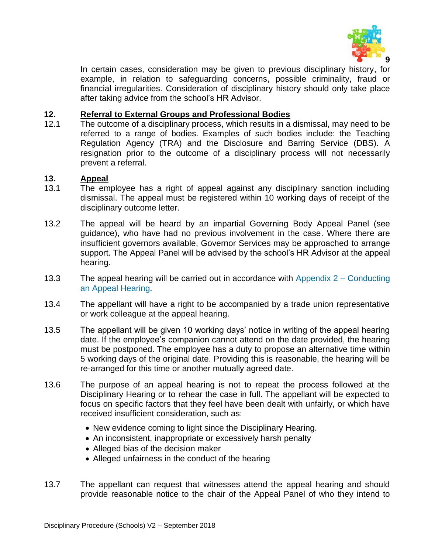

In certain cases, consideration may be given to previous disciplinary history, for example, in relation to safeguarding concerns, possible criminality, fraud or financial irregularities. Consideration of disciplinary history should only take place after taking advice from the school's HR Advisor.

# **12. Referral to External Groups and Professional Bodies**

12.1 The outcome of a disciplinary process, which results in a dismissal, may need to be referred to a range of bodies. Examples of such bodies include: the Teaching Regulation Agency (TRA) and the Disclosure and Barring Service (DBS). A resignation prior to the outcome of a disciplinary process will not necessarily prevent a referral.

# **13. Appeal**

- 13.1 The employee has a right of appeal against any disciplinary sanction including dismissal. The appeal must be registered within 10 working days of receipt of the disciplinary outcome letter.
- 13.2 The appeal will be heard by an impartial Governing Body Appeal Panel (see guidance), who have had no previous involvement in the case. Where there are insufficient governors available, Governor Services may be approached to arrange support. The Appeal Panel will be advised by the school's HR Advisor at the appeal hearing.
- 13.3 The appeal hearing will be carried out in accordance with Appendix 2 [Conducting](http://www.nottinghamcity.gov.uk/nottinghamschools/index.aspx?articleid=17754#APPENDIX1#APPENDIX1)  [an Appeal Hearing.](http://www.nottinghamcity.gov.uk/nottinghamschools/index.aspx?articleid=17754#APPENDIX1#APPENDIX1)
- 13.4 The appellant will have a right to be accompanied by a trade union representative or work colleague at the appeal hearing.
- 13.5 The appellant will be given 10 working days' notice in writing of the appeal hearing date. If the employee's companion cannot attend on the date provided, the hearing must be postponed. The employee has a duty to propose an alternative time within 5 working days of the original date. Providing this is reasonable, the hearing will be re-arranged for this time or another mutually agreed date.
- 13.6 The purpose of an appeal hearing is not to repeat the process followed at the Disciplinary Hearing or to rehear the case in full. The appellant will be expected to focus on specific factors that they feel have been dealt with unfairly, or which have received insufficient consideration, such as:
	- New evidence coming to light since the Disciplinary Hearing.
	- An inconsistent, inappropriate or excessively harsh penalty
	- Alleged bias of the decision maker
	- Alleged unfairness in the conduct of the hearing
- 13.7 The appellant can request that witnesses attend the appeal hearing and should provide reasonable notice to the chair of the Appeal Panel of who they intend to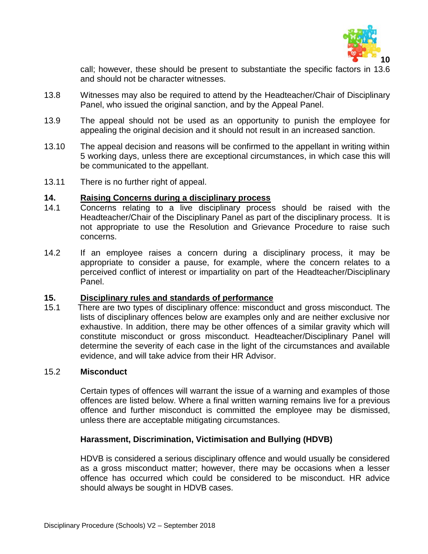

call; however, these should be present to substantiate the specific factors in 13.6 and should not be character witnesses.

- 13.8 Witnesses may also be required to attend by the Headteacher/Chair of Disciplinary Panel, who issued the original sanction, and by the Appeal Panel.
- 13.9 The appeal should not be used as an opportunity to punish the employee for appealing the original decision and it should not result in an increased sanction.
- 13.10 The appeal decision and reasons will be confirmed to the appellant in writing within 5 working days, unless there are exceptional circumstances, in which case this will be communicated to the appellant.
- 13.11 There is no further right of appeal.

#### **14. Raising Concerns during a disciplinary process**

- 14.1 Concerns relating to a live disciplinary process should be raised with the Headteacher/Chair of the Disciplinary Panel as part of the disciplinary process. It is not appropriate to use the Resolution and Grievance Procedure to raise such concerns.
- 14.2 If an employee raises a concern during a disciplinary process, it may be appropriate to consider a pause, for example, where the concern relates to a perceived conflict of interest or impartiality on part of the Headteacher/Disciplinary Panel.

# **15. Disciplinary rules and standards of performance**

15.1 There are two types of disciplinary offence: misconduct and gross misconduct. The lists of disciplinary offences below are examples only and are neither exclusive nor exhaustive. In addition, there may be other offences of a similar gravity which will constitute misconduct or gross misconduct. Headteacher/Disciplinary Panel will determine the severity of each case in the light of the circumstances and available evidence, and will take advice from their HR Advisor.

#### 15.2 **Misconduct**

Certain types of offences will warrant the issue of a warning and examples of those offences are listed below. Where a final written warning remains live for a previous offence and further misconduct is committed the employee may be dismissed, unless there are acceptable mitigating circumstances.

# **Harassment, Discrimination, Victimisation and Bullying (HDVB)**

HDVB is considered a serious disciplinary offence and would usually be considered as a gross misconduct matter; however, there may be occasions when a lesser offence has occurred which could be considered to be misconduct. HR advice should always be sought in HDVB cases.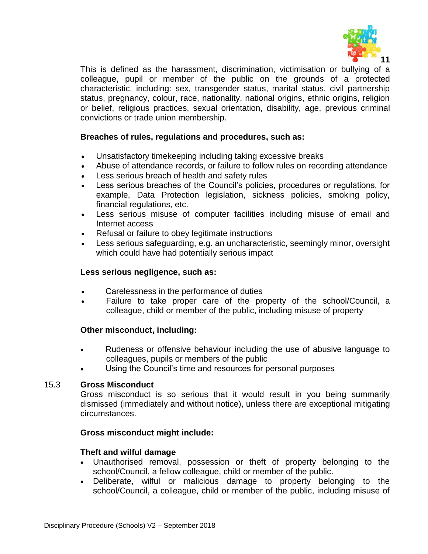

This is defined as the harassment, discrimination, victimisation or bullying of a colleague, pupil or member of the public on the grounds of a protected characteristic, including: sex, transgender status, marital status, civil partnership status, pregnancy, colour, race, nationality, national origins, ethnic origins, religion or belief, religious practices, sexual orientation, disability, age, previous criminal convictions or trade union membership.

# **Breaches of rules, regulations and procedures, such as:**

- Unsatisfactory timekeeping including taking excessive breaks
- Abuse of attendance records, or failure to follow rules on recording attendance
- Less serious breach of health and safety rules
- Less serious breaches of the Council's policies, procedures or regulations, for example, Data Protection legislation, sickness policies, smoking policy, financial regulations, etc.
- Less serious misuse of computer facilities including misuse of email and Internet access
- Refusal or failure to obey legitimate instructions
- Less serious safeguarding, e.g. an uncharacteristic, seemingly minor, oversight which could have had potentially serious impact

# **Less serious negligence, such as:**

- Carelessness in the performance of duties
- Failure to take proper care of the property of the school/Council, a colleague, child or member of the public, including misuse of property

# **Other misconduct, including:**

- Rudeness or offensive behaviour including the use of abusive language to colleagues, pupils or members of the public
- Using the Council's time and resources for personal purposes

# 15.3 **Gross Misconduct**

Gross misconduct is so serious that it would result in you being summarily dismissed (immediately and without notice), unless there are exceptional mitigating circumstances.

# **Gross misconduct might include:**

# **Theft and wilful damage**

- Unauthorised removal, possession or theft of property belonging to the school/Council, a fellow colleague, child or member of the public.
- Deliberate, wilful or malicious damage to property belonging to the school/Council, a colleague, child or member of the public, including misuse of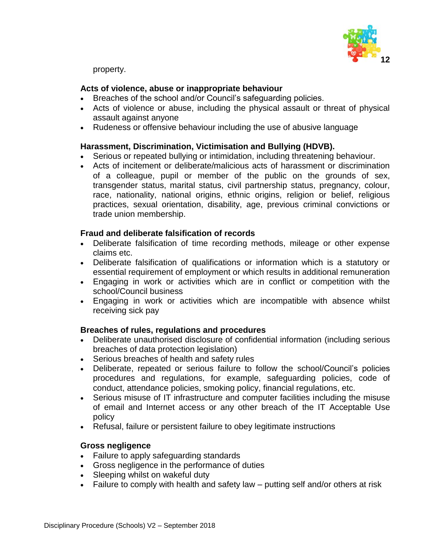

property.

# **Acts of violence, abuse or inappropriate behaviour**

- Breaches of the school and/or Council's safeguarding policies.
- Acts of violence or abuse, including the physical assault or threat of physical assault against anyone
- Rudeness or offensive behaviour including the use of abusive language

# **Harassment, Discrimination, Victimisation and Bullying (HDVB).**

- Serious or repeated bullying or intimidation, including threatening behaviour.
- Acts of incitement or deliberate/malicious acts of harassment or discrimination of a colleague, pupil or member of the public on the grounds of sex, transgender status, marital status, civil partnership status, pregnancy, colour, race, nationality, national origins, ethnic origins, religion or belief, religious practices, sexual orientation, disability, age, previous criminal convictions or trade union membership.

#### **Fraud and deliberate falsification of records**

- Deliberate falsification of time recording methods, mileage or other expense claims etc.
- Deliberate falsification of qualifications or information which is a statutory or essential requirement of employment or which results in additional remuneration
- Engaging in work or activities which are in conflict or competition with the school/Council business
- Engaging in work or activities which are incompatible with absence whilst receiving sick pay

#### **Breaches of rules, regulations and procedures**

- Deliberate unauthorised disclosure of confidential information (including serious breaches of data protection legislation)
- Serious breaches of health and safety rules
- Deliberate, repeated or serious failure to follow the school/Council's policies procedures and regulations, for example, safeguarding policies, code of conduct, attendance policies, smoking policy, financial regulations, etc.
- Serious misuse of IT infrastructure and computer facilities including the misuse of email and Internet access or any other breach of the IT Acceptable Use policy
- Refusal, failure or persistent failure to obey legitimate instructions

# **Gross negligence**

- Failure to apply safeguarding standards
- Gross negligence in the performance of duties
- Sleeping whilst on wakeful duty
- Failure to comply with health and safety law putting self and/or others at risk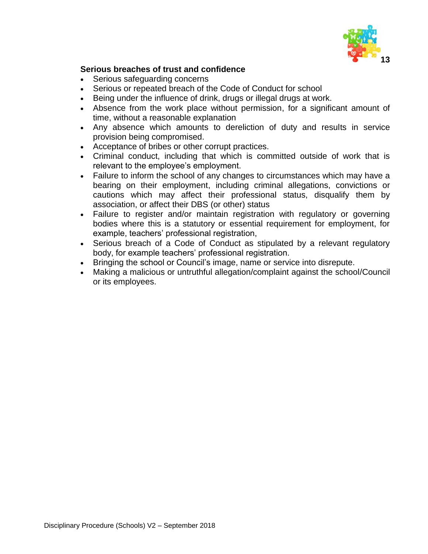

# **Serious breaches of trust and confidence**

- Serious safeguarding concerns
- Serious or repeated breach of the Code of Conduct for school
- Being under the influence of drink, drugs or illegal drugs at work.
- Absence from the work place without permission, for a significant amount of time, without a reasonable explanation
- Any absence which amounts to dereliction of duty and results in service provision being compromised.
- Acceptance of bribes or other corrupt practices.
- Criminal conduct, including that which is committed outside of work that is relevant to the employee's employment.
- Failure to inform the school of any changes to circumstances which may have a bearing on their employment, including criminal allegations, convictions or cautions which may affect their professional status, disqualify them by association, or affect their DBS (or other) status
- Failure to register and/or maintain registration with regulatory or governing bodies where this is a statutory or essential requirement for employment, for example, teachers' professional registration,
- Serious breach of a Code of Conduct as stipulated by a relevant regulatory body, for example teachers' professional registration.
- Bringing the school or Council's image, name or service into disrepute.
- Making a malicious or untruthful allegation/complaint against the school/Council or its employees.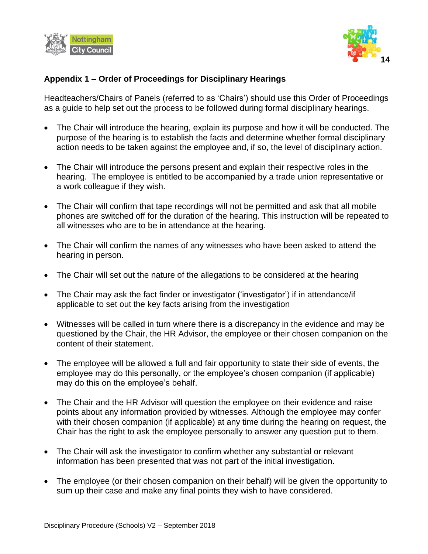



# **Appendix 1 – Order of Proceedings for Disciplinary Hearings**

Headteachers/Chairs of Panels (referred to as 'Chairs') should use this Order of Proceedings as a guide to help set out the process to be followed during formal disciplinary hearings.

- The Chair will introduce the hearing, explain its purpose and how it will be conducted. The purpose of the hearing is to establish the facts and determine whether formal disciplinary action needs to be taken against the employee and, if so, the level of disciplinary action.
- The Chair will introduce the persons present and explain their respective roles in the hearing. The employee is entitled to be accompanied by a trade union representative or a work colleague if they wish.
- The Chair will confirm that tape recordings will not be permitted and ask that all mobile phones are switched off for the duration of the hearing. This instruction will be repeated to all witnesses who are to be in attendance at the hearing.
- The Chair will confirm the names of any witnesses who have been asked to attend the hearing in person.
- The Chair will set out the nature of the allegations to be considered at the hearing
- The Chair may ask the fact finder or investigator ('investigator') if in attendance/if applicable to set out the key facts arising from the investigation
- Witnesses will be called in turn where there is a discrepancy in the evidence and may be questioned by the Chair, the HR Advisor, the employee or their chosen companion on the content of their statement.
- The employee will be allowed a full and fair opportunity to state their side of events, the employee may do this personally, or the employee's chosen companion (if applicable) may do this on the employee's behalf.
- The Chair and the HR Advisor will question the employee on their evidence and raise points about any information provided by witnesses. Although the employee may confer with their chosen companion (if applicable) at any time during the hearing on request, the Chair has the right to ask the employee personally to answer any question put to them.
- The Chair will ask the investigator to confirm whether any substantial or relevant information has been presented that was not part of the initial investigation.
- The employee (or their chosen companion on their behalf) will be given the opportunity to sum up their case and make any final points they wish to have considered.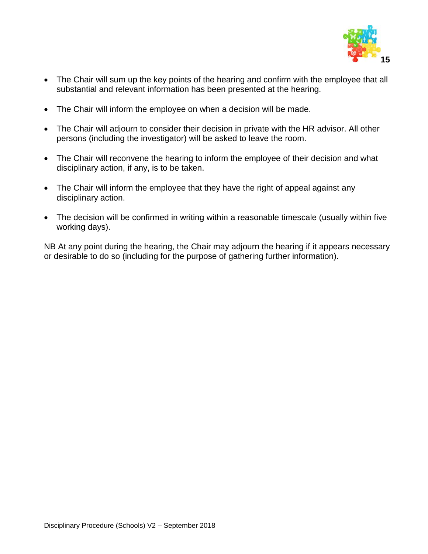

- The Chair will sum up the key points of the hearing and confirm with the employee that all substantial and relevant information has been presented at the hearing.
- The Chair will inform the employee on when a decision will be made.
- The Chair will adjourn to consider their decision in private with the HR advisor. All other persons (including the investigator) will be asked to leave the room.
- The Chair will reconvene the hearing to inform the employee of their decision and what disciplinary action, if any, is to be taken.
- The Chair will inform the employee that they have the right of appeal against any disciplinary action.
- The decision will be confirmed in writing within a reasonable timescale (usually within five working days).

NB At any point during the hearing, the Chair may adjourn the hearing if it appears necessary or desirable to do so (including for the purpose of gathering further information).